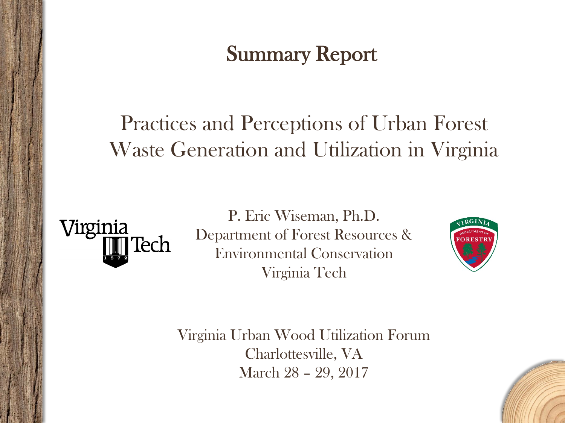#### Summary Report

#### Practices and Perceptions of Urban Forest Waste Generation and Utilization in Virginia



P. Eric Wiseman, Ph.D. Department of Forest Resources & Environmental Conservation Virginia Tech



Virginia Urban Wood Utilization Forum Charlottesville, VA March 28 – 29, 2017

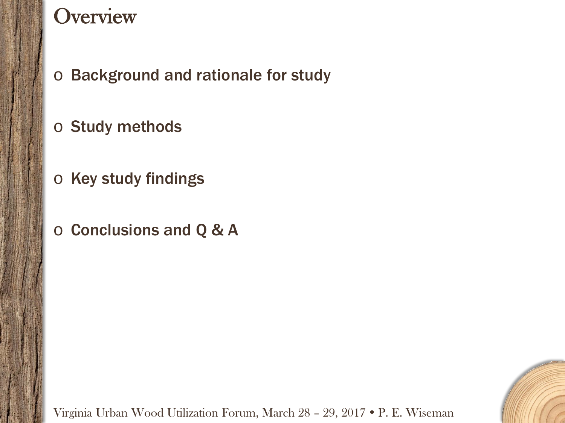#### **Overview**

o Background and rationale for study

o Study methods

- o Key study findings
- o Conclusions and Q & A

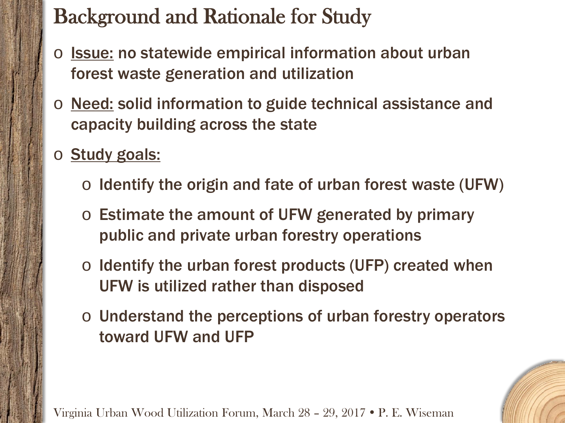# Background and Rationale for Study

- o **Issue:** no statewide empirical information about urban forest waste generation and utilization
- o Need: solid information to guide technical assistance and capacity building across the state
- o **Study goals:** 
	- $\circ$  Identify the origin and fate of urban forest waste (UFW)
	- o Estimate the amount of UFW generated by primary public and private urban forestry operations
	- $\circ$  Identify the urban forest products (UFP) created when UFW is utilized rather than disposed
	- o Understand the perceptions of urban forestry operators toward UFW and UFP

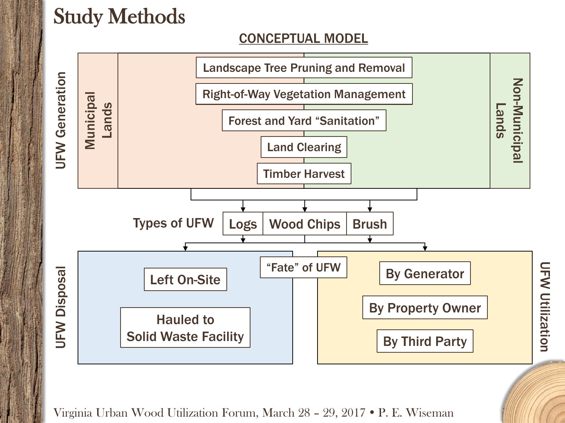### Study Methods

#### CONCEPTUAL MODEL



UFW Utilization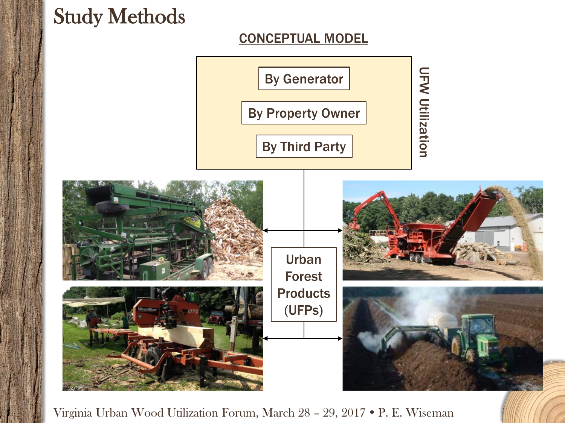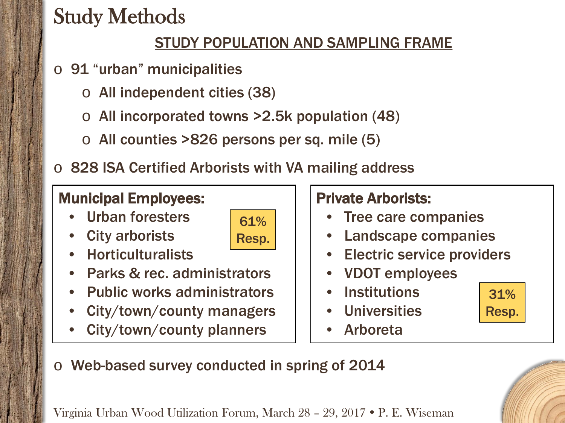# Study Methods

#### STUDY POPULATION AND SAMPLING FRAME

- o 91 "urban" municipalities
	- o All independent cities (38)
	- $\circ$  All incorporated towns >2.5k population (48)
	- $\circ$  All counties >826 persons per sq. mile (5)
- $\circ$  828 ISA Certified Arborists with VA mailing address

61%

Resp.

#### Municipal Employees:

- Urban foresters
- **City arborists**
- Horticulturalists
- Parks & rec. administrators
- Public works administrators
- City/town/county managers
- City/town/county planners

#### Private Arborists:

- Tree care companies
- Landscape companies
- **Electric service providers**
- VDOT employees
- **Institutions**
- **Universities**
- **Arboreta**



o Web-based survey conducted in spring of 2014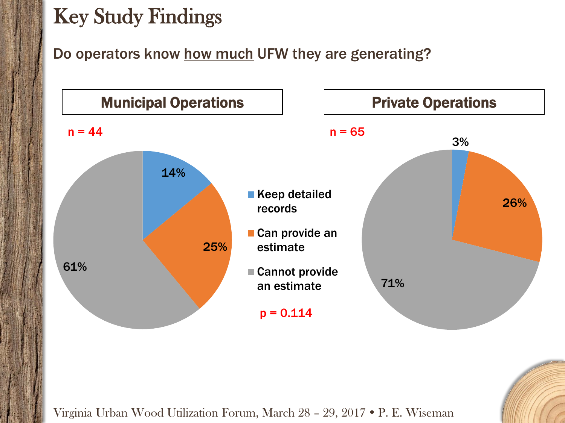Do operators know how much UFW they are generating?

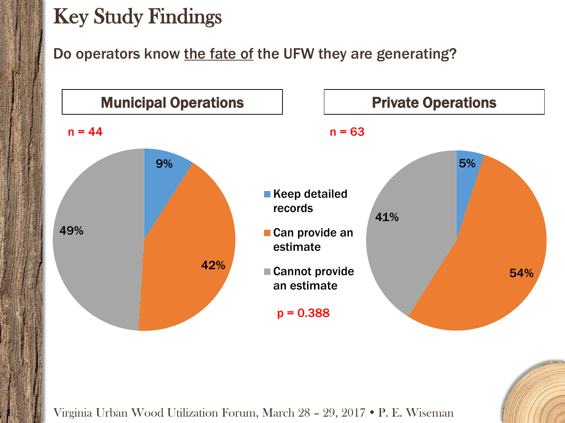#### Do operators know the fate of the UFW they are generating?

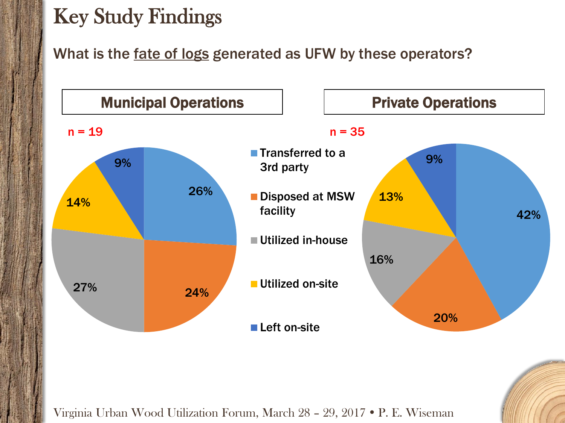What is the fate of logs generated as UFW by these operators?

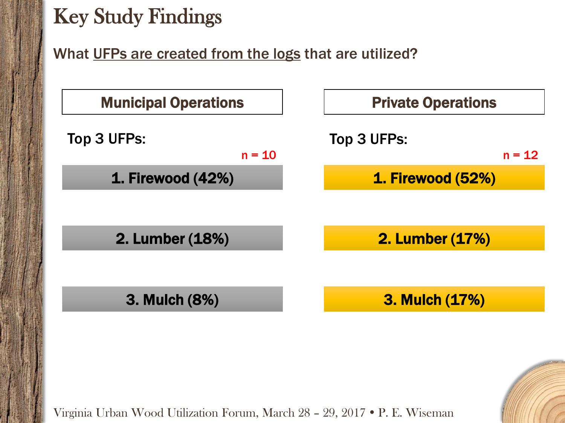What UFPs are created from the logs that are utilized?

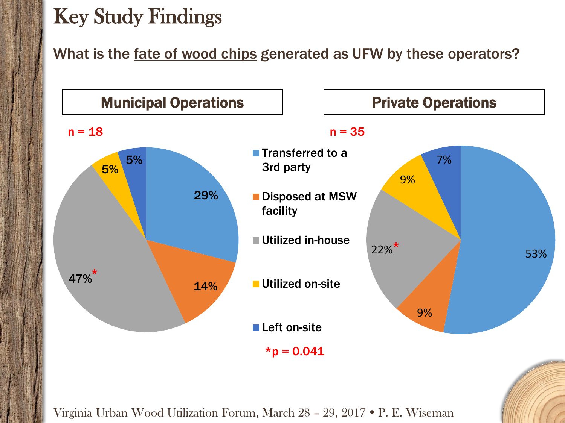What is the fate of wood chips generated as UFW by these operators?

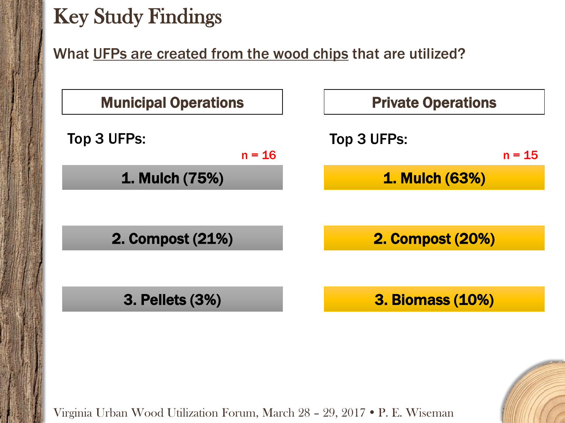What UFPs are created from the wood chips that are utilized?

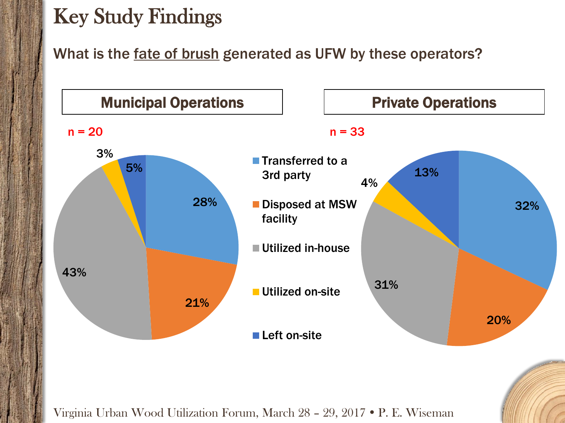What is the fate of brush generated as UFW by these operators?

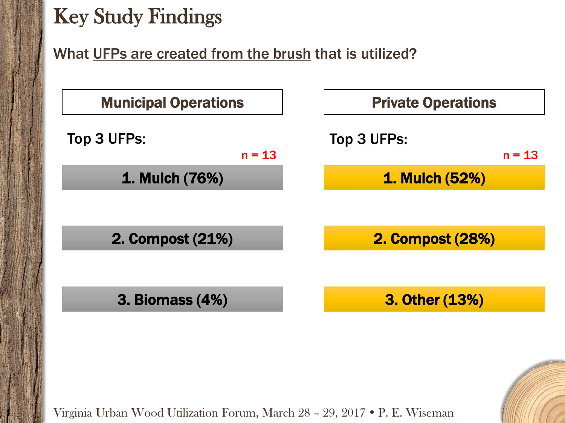#### What UFPs are created from the brush that is utilized?

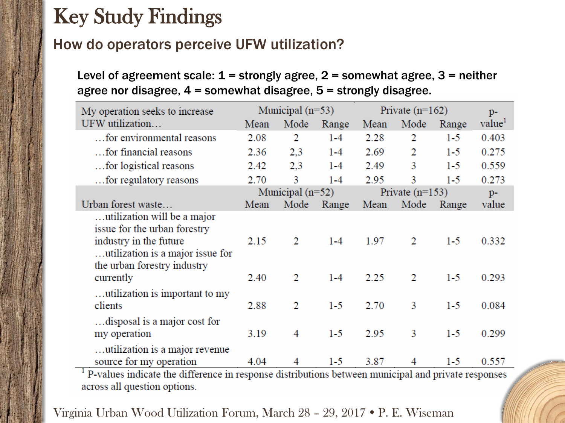#### How do operators perceive UFW utilization?

Level of agreement scale:  $1 =$  strongly agree,  $2 =$  somewhat agree,  $3 =$  neither agree nor disagree, 4 = somewhat disagree, 5 = strongly disagree.

| My operation seeks to increase                                                                                            | Municipal $(n=53)$ |      |         | Private $(n=162)$ |      |       | $p-$               |
|---------------------------------------------------------------------------------------------------------------------------|--------------------|------|---------|-------------------|------|-------|--------------------|
| UFW utilization                                                                                                           | Mean               | Mode | Range   | Mean              | Mode | Range | value <sup>1</sup> |
| for environmental reasons                                                                                                 | 2.08               | 2    | $1 - 4$ | 2.28              | 2    | $1-5$ | 0.403              |
| for financial reasons                                                                                                     | 2.36               | 2,3  | $1 - 4$ | 2.69              | 2    | $1-5$ | 0.275              |
| tor logistical reasons                                                                                                    | 2.42               | 2,3  | $1 - 4$ | 2.49              | 3    | $1-5$ | 0.559              |
| for regulatory reasons                                                                                                    | 2.70               | 3    | $1 - 4$ | 2.95              | 3    | $1-5$ | 0.273              |
|                                                                                                                           | Municipal (n=52)   |      |         | Private $(n=153)$ |      |       | $p-$               |
| Urban forest waste                                                                                                        | Mean               | Mode | Range   | Mean              | Mode | Range | value              |
| utilization will be a major<br>issue for the urban forestry<br>industry in the future<br>utilization is a major issue for | 2.15               | 2    | $1 - 4$ | 1.97              | 2    | $1-5$ | 0.332              |
| the urban forestry industry<br>currently                                                                                  | 2.40               | 2    | $1 - 4$ | 2.25              | 2    | $1-5$ | 0.293              |
| utilization is important to my<br>clients                                                                                 | 2.88               | 2    | $1-5$   | 2.70              | 3    | $1-5$ | 0.084              |
| disposal is a major cost for<br>my operation                                                                              | 3.19               | 4    | $1-5$   | 2.95              | 3    | $1-5$ | 0.299              |
| utilization is a major revenue<br>source for my operation                                                                 | 4.04               | 4    | $1-5$   | 3.87              | 4    | $1-5$ | 0.557              |

<sup>1</sup> P-values indicate the difference in response distributions between municipal and private responses across all question options.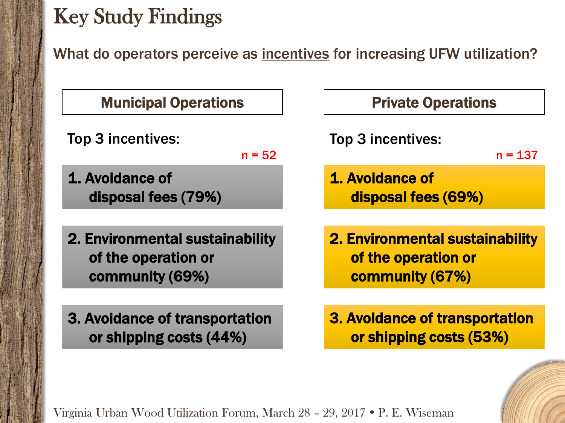or shipping costs (44%)

What do operators perceive as incentives for increasing UFW utilization?

| <b>Municipal Operations</b>                                               | <b>Privat</b>                            |
|---------------------------------------------------------------------------|------------------------------------------|
| Top 3 incentives:<br>$n = 52$                                             | Top 3 incent                             |
| 1. Avoidance of<br>disposal fees (79%)                                    | 1. Avoidance<br>disposal <b>disposal</b> |
| 2. Environmental sustainability<br>of the operation or<br>community (69%) | 2. Environme<br>of the ope<br>commun     |
| 3. Avoidance of transportation                                            | 3. Avoidance                             |

#### e Operations

ives:

 $n = 137$ 

 $e$  of fees (69%)

ental sustainability eration or ity (67%)

e of transportation or shipping costs (53%)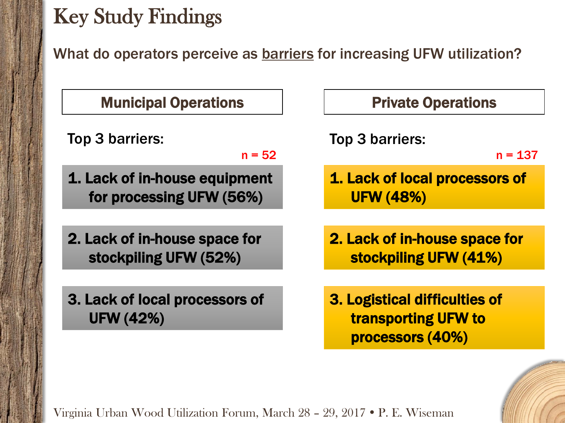What do operators perceive as **barriers** for increasing UFW utilization?

 $n = 137$ 

| <b>Private Operations</b>                                                       |  |  |  |
|---------------------------------------------------------------------------------|--|--|--|
| <b>Top 3 barriers:</b><br>$n = 13$                                              |  |  |  |
| 1. Lack of local processors of<br><b>UFW (48%)</b>                              |  |  |  |
| 2. Lack of in-house space for<br>stockpiling UFW (41%)                          |  |  |  |
| 3. Logistical difficulties of<br><b>transporting UFW to</b><br>processors (40%) |  |  |  |
|                                                                                 |  |  |  |